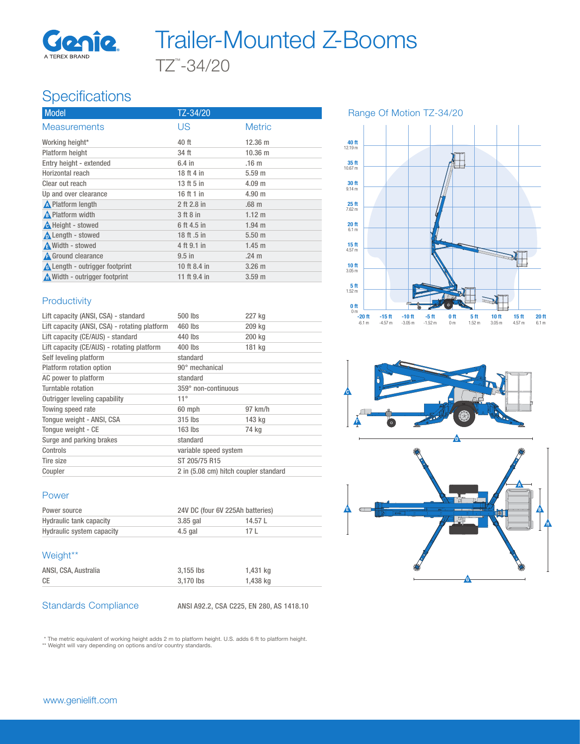

# TZ™ -34/20 Trailer-Mounted Z-Booms

## **Specifications**

| Model                                 | TZ-34/20     |                   |
|---------------------------------------|--------------|-------------------|
| <b>Measurements</b>                   | US           | <b>Metric</b>     |
| Working height*                       | 40 ft        | $12.36 \text{ m}$ |
| Platform height                       | 34 ft        | $10.36 \; m$      |
| Entry height - extended               | $6.4$ in     | .16 <sub>m</sub>  |
| Horizontal reach                      | 18 ft 4 in   | $5.59$ m          |
| Clear out reach                       | 13 ft 5 in   | 4.09 m            |
| Up and over clearance                 | 16 ft 1 in   | $4.90$ m          |
| <b>A</b> Platform length              | 2 ft 2.8 in  | .68 <sub>m</sub>  |
| A Platform width                      | 3 ft 8 in    | $1.12 \text{ m}$  |
| <b>A</b> Height - stowed              | 6 ft 4.5 in  | $1.94$ m          |
| <b>A</b> Length - stowed              | 18 ft .5 in  | $5.50$ m          |
| A Width - stowed                      | 4 ft 9.1 in  | $1.45 \text{ m}$  |
| <b>A</b> Ground clearance             | $9.5$ in     | .24 <sub>m</sub>  |
| <b>A</b> Length - outrigger footprint | 10 ft 8.4 in | $3.26$ m          |
| Nidth - outrigger footprint           | 11 ft 9.4 in | 3.59 <sub>m</sub> |

#### **Productivity**

| Lift capacity (ANSI, CSA) - standard          | 500 lbs                               | 227 kg    |
|-----------------------------------------------|---------------------------------------|-----------|
| Lift capacity (ANSI, CSA) - rotating platform | 460 lbs                               | 209 kg    |
| Lift capacity (CE/AUS) - standard             | 440 lbs                               | 200 kg    |
| Lift capacity (CE/AUS) - rotating platform    | $400$ lbs                             | 181 kg    |
| Self leveling platform                        | standard                              |           |
| Platform rotation option                      | 90° mechanical                        |           |
| AC power to platform                          | standard                              |           |
| Turntable rotation                            | 359° non-continuous                   |           |
| Outrigger leveling capability                 | $11^{\circ}$                          |           |
| Towing speed rate                             | 60 mph                                | $97$ km/h |
| Tonque weight - ANSI, CSA                     | $315$ lbs                             | 143 ka    |
| Tonque weight - CE                            | $163$ lbs                             | 74 kg     |
| Surge and parking brakes                      | standard                              |           |
| Controls                                      | variable speed system                 |           |
| Tire size                                     | ST 205/75 R15                         |           |
| Coupler                                       | 2 in (5.08 cm) hitch coupler standard |           |

### Power

| Power source              | 24V DC (four 6V 225Ah batteries) |        |
|---------------------------|----------------------------------|--------|
| Hydraulic tank capacity   | $3.85$ gal                       | 14.57L |
| Hydraulic system capacity | $4.5$ gal                        | 171    |

#### Weight\*\*

| ANSI, CSA, Australia | 3.155 lbs | 1,431 kg |
|----------------------|-----------|----------|
| <b>CE</b>            | 3.170 lbs | 1,438 kg |

Standards Compliance ANSI A92.2, CSA C225, EN 280, AS 1418.10

\* The metric equivalent of working height adds 2 m to platform height. U.S. adds 6 ft to platform height. \*\* Weight will vary depending on options and/or country standards.

40 ft 12.19 m ╂  $35$  ft<br>10.67 m  $30 \text{ ft}$ <br>9.14 m 25 ft 7.62 m 20 ft 6.1 m  $15$  ft<br>4.57 m  $\frac{10 \text{ ft}}{3.05 \text{ m}}$  $\frac{5}{1.52}$  m  $0<sub>m</sub>$ -20 ft -15 ft -10 ft -5 ft 0 ft 5 ft 10 ft 15 ft 20 ft -6.1 m -4.57 m -3.05 m -1.52 m 0 m 1.52 m 3.05 m 4.57 m 6.1 m

Range Of Motion TZ-34/20